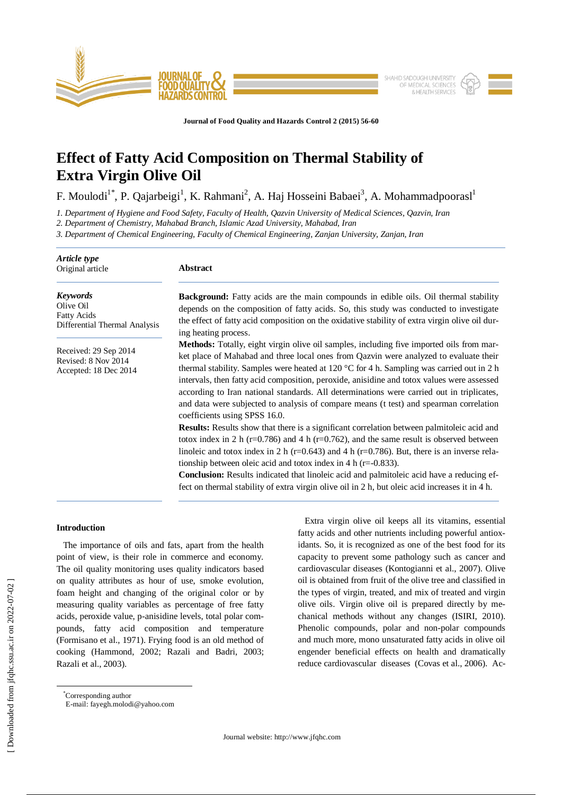

**Journal of Food Quality and Hazards Control 2 (2015) 56-60**

# **Effect of Fatty Acid Composition on Thermal Stability of Extra Virgin Olive Oil**

F. Moulodi<sup>1\*</sup>, P. Qajarbeigi<sup>1</sup>, K. Rahmani<sup>2</sup>, A. Haj Hosseini Babaei<sup>3</sup>, A. Mohammadpoorasl<sup>1</sup>

*1. Department of Hygiene and Food Safety, Faculty of Health, Qazvin University of Medical Sciences, Qazvin, Iran* 

*2. Department of Chemistry, Mahabad Branch, Islamic Azad University, Mahabad, Iran*

*3. Department of Chemical Engineering, Faculty of Chemical Engineering, Zanjan University, Zanjan, Iran*

| Article type<br>Original article                                                    | <b>Abstract</b>                                                                                                                                                                                                                                                                                                                                                                                                                                                                                                                                                                                                      |  |  |  |
|-------------------------------------------------------------------------------------|----------------------------------------------------------------------------------------------------------------------------------------------------------------------------------------------------------------------------------------------------------------------------------------------------------------------------------------------------------------------------------------------------------------------------------------------------------------------------------------------------------------------------------------------------------------------------------------------------------------------|--|--|--|
| <b>Keywords</b><br>Olive Oil<br><b>Fatty Acids</b><br>Differential Thermal Analysis | <b>Background:</b> Fatty acids are the main compounds in edible oils. Oil thermal stability<br>depends on the composition of fatty acids. So, this study was conducted to investigate<br>the effect of fatty acid composition on the oxidative stability of extra virgin olive oil dur-<br>ing heating process.                                                                                                                                                                                                                                                                                                      |  |  |  |
| Received: 29 Sep 2014<br>Revised: 8 Nov 2014<br>Accepted: 18 Dec 2014               | <b>Methods:</b> Totally, eight virgin olive oil samples, including five imported oils from mar-<br>ket place of Mahabad and three local ones from Qazvin were analyzed to evaluate their<br>thermal stability. Samples were heated at 120 $\degree$ C for 4 h. Sampling was carried out in 2 h<br>intervals, then fatty acid composition, peroxide, anisidine and totox values were assessed<br>according to Iran national standards. All determinations were carried out in triplicates,<br>and data were subjected to analysis of compare means (t test) and spearman correlation<br>coefficients using SPSS 16.0. |  |  |  |
|                                                                                     | Results: Results show that there is a significant correlation between palmitoleic acid and<br>totox index in 2 h ( $r=0.786$ ) and 4 h ( $r=0.762$ ), and the same result is observed between<br>linoleic and totox index in 2 h ( $r=0.643$ ) and 4 h ( $r=0.786$ ). But, there is an inverse rela-<br>tionship between oleic acid and totox index in 4 h ( $r = -0.833$ ).<br><b>Conclusion:</b> Results indicated that linoleic acid and palmitoleic acid have a reducing ef-<br>fect on thermal stability of extra virgin olive oil in 2 h, but oleic acid increases it in 4 h.                                  |  |  |  |

# **Introduction**

 The importance of oils and fats, apart from the health point of view, is their role in commerce and economy. The oil quality monitoring uses quality indicators based on quality attributes as hour of use, smoke evolution, foam height and changing of the original color or by measuring quality variables as percentage of free fatty acids, peroxide value, p-anisidine levels, total polar compounds, fatty acid composition and temperature (Formisano et al., 1971). Frying food is an old method of cooking (Hammond, 2002; Razali and Badri, 2003; Razali et al., 2003).

Extra virgin olive oil keeps all its vitamins, essential fatty acids and other nutrients including powerful antioxidants. So, it is recognized as one of the best food for its capacity to prevent some pathology such as cancer and cardiovascular diseases (Kontogianni et al., 2007). Olive oil is obtained from fruit of the olive tree and classified in the types of virgin, treated, and mix of treated and virgin olive oils. Virgin olive oil is prepared directly by mechanical methods without any changes (ISIRI, 2010). Phenolic compounds, polar and non-polar compounds and much more, mono unsaturated fatty acids in olive oil engender beneficial effects on health and dramatically reduce cardiovascular diseases (Covas et al., 2006). Ac-

\*Corresponding author E-mail: fayegh.molodi@yahoo.com

 $\overline{a}$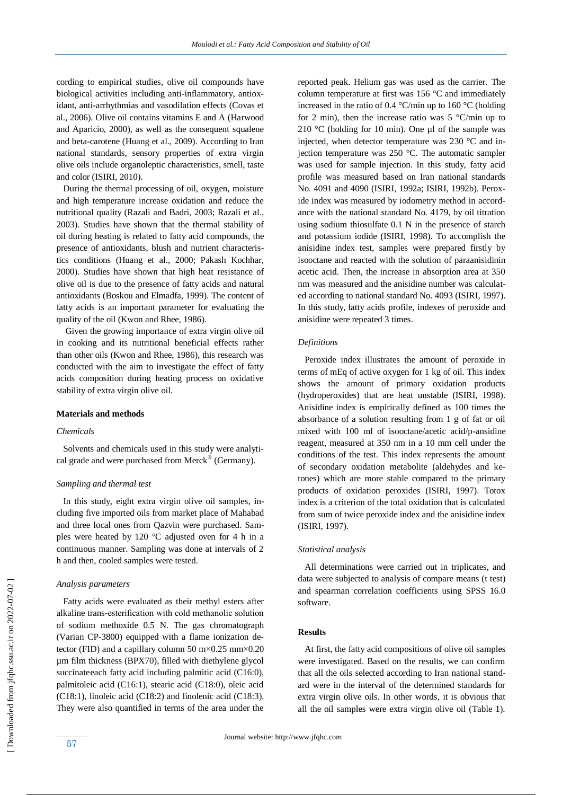cording to empirical studies, olive oil compounds have biological activities including anti-inflammatory, antioxidant, anti-arrhythmias and vasodilation effects (Covas et al., 2006). Olive oil contains vitamins E and A (Harwood and Aparicio, 2000), as well as the consequent squalene and beta-carotene (Huang et al., 2009). According to Iran national standards, sensory properties of extra virgin olive oils include organoleptic characteristics, smell, taste and color (ISIRI, 2010).

 During the thermal processing of oil, oxygen, moisture and high temperature increase oxidation and reduce the nutritional quality (Razali and Badri, 2003; Razali et al., 2003). Studies have shown that the thermal stability of oil during heating is related to fatty acid compounds, the presence of antioxidants, blush and nutrient characteristics conditions (Huang et al., 2000; Pakash Kochhar, 2000). Studies have shown that high heat resistance of olive oil is due to the presence of fatty acids and natural antioxidants (Boskou and Elmadfa, 1999). The content of fatty acids is an important parameter for evaluating the quality of the oil (Kwon and Rhee, 1986).

Given the growing importance of extra virgin olive oil in cooking and its nutritional beneficial effects rather than other oils (Kwon and Rhee, 1986), this research was conducted with the aim to investigate the effect of fatty acids composition during heating process on oxidative stability of extra virgin olive oil.

## **Materials and methods**

## *Chemicals*

 Solvents and chemicals used in this study were analytical grade and were purchased from Merck $^{\circledR}$  (Germany).

## *Sampling and thermal test*

 In this study, eight extra virgin olive oil samples, including five imported oils from market place of Mahabad and three local ones from Qazvin were purchased. Samples were heated by 120 °C adjusted oven for 4 h in a continuous manner. Sampling was done at intervals of 2 h and then, cooled samples were tested.

# *Analysis parameters*

 Fatty acids were evaluated as their methyl esters after alkaline trans-esterification with cold methanolic solution of sodium methoxide 0.5 N. The gas chromatograph (Varian CP-3800) equipped with a flame ionization detector (FID) and a capillary column 50  $\text{m} \times 0.25 \text{ mm} \times 0.20$ µm film thickness (BPX70), filled with diethylene glycol succinateeach fatty acid including palmitic acid (C16:0), palmitoleic acid (C16:1), stearic acid (C18:0), oleic acid (C18:1), linoleic acid (C18:2) and linolenic acid (C18:3). They were also quantified in terms of the area under the reported peak. Helium gas was used as the carrier. The column temperature at first was 156 °C and immediately increased in the ratio of 0.4 °C/min up to 160 °C (holding for 2 min), then the increase ratio was  $5^{\circ}$ C/min up to 210 °C (holding for 10 min). One  $\mu$ l of the sample was injected, when detector temperature was 230 °C and injection temperature was 250 °C. The automatic sampler was used for sample injection. In this study, fatty acid profile was measured based on Iran national standards No. 4091 and 4090 (ISIRI, 1992a; ISIRI, 1992b). Peroxide index was measured by iodometry method in accordance with the national standard No. 4179, by oil titration using sodium thiosulfate 0.1 N in the presence of starch and potassium iodide (ISIRI, 1998). To accomplish the anisidine index test, samples were prepared firstly by isooctane and reacted with the solution of paraanisidinin acetic acid. Then, the increase in absorption area at 350 nm was measured and the anisidine number was calculated according to national standard No. 4093 (ISIRI, 1997). In this study, fatty acids profile, indexes of peroxide and anisidine were repeated 3 times.

#### *Definitions*

 Peroxide index illustrates the amount of peroxide in terms of mEq of active oxygen for 1 kg of oil. This index shows the amount of primary oxidation products (hydroperoxides) that are heat unstable (ISIRI, 1998). Anisidine index is empirically defined as 100 times the absorbance of a solution resulting from 1 g of fat or oil mixed with 100 ml of isooctane/acetic acid/p-ansidine reagent, measured at 350 nm in a 10 mm cell under the conditions of the test. This index represents the amount of secondary oxidation metabolite (aldehydes and ketones) which are more stable compared to the primary products of oxidation peroxides (ISIRI, 1997). Totox index is a criterion of the total oxidation that is calculated from sum of twice peroxide index and the anisidine index (ISIRI, 1997).

### *Statistical analysis*

 All determinations were carried out in triplicates, and data were subjected to analysis of compare means (t test) and spearman correlation coefficients using SPSS 16.0 software.

## **Results**

 At first, the fatty acid compositions of olive oil samples were investigated. Based on the results, we can confirm that all the oils selected according to Iran national standard were in the interval of the determined standards for extra virgin olive oils. In other words, it is obvious that all the oil samples were extra virgin olive oil (Table 1).

 [\[ Downloaded from jfqhc.ssu.ac.ir on 2022](http://jfqhc.ssu.ac.ir/article-1-146-en.html)-07-02 ] Downloaded from jfqhc.ssu.ac.ir on 2022-07-02

57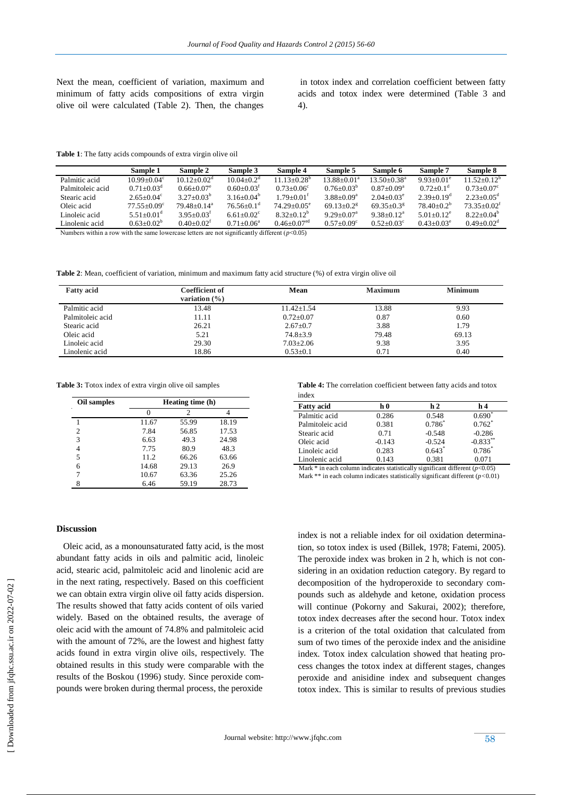Next the mean, coefficient of variation, maximum and minimum of fatty acids compositions of extra virgin olive oil were calculated (Table 2). Then, the changes

in totox index and correlation coefficient between fatty acids and totox index were determined (Table 3 and 4).

**Table 1**: The fatty acids compounds of extra virgin olive oil

|                  | Sample 1               | Sample 2                   | Sample 3                     | Sample 4                    | Sample 5               | Sample 6                    | <b>Sample 7</b>             | Sample 8                   |
|------------------|------------------------|----------------------------|------------------------------|-----------------------------|------------------------|-----------------------------|-----------------------------|----------------------------|
| Palmitic acid    | $10.99 + 0.04^{\circ}$ | $10.12 + 0.02d$            | $10.04 + 0.2d$               | $11.13 + 0.28$ <sup>b</sup> | 13 88+0 01ª            | $13.50 + 0.38$ <sup>a</sup> | $9.93 + 0.01^e$             | $11.52 + 0.12^b$           |
| Palmitoleic acid | $0.71 + 0.03d$         | $0.66 + 0.07$ <sup>e</sup> | $0.60 + 0.03$ <sup>t</sup>   | $0.73 + 0.06^{\circ}$       | $0.76 + 0.03^b$        | $0.87+0.09^a$               | $0.72 \pm 0.1$ <sup>d</sup> | $0.73 + 0.07$ <sup>c</sup> |
| Stearic acid     | $2.65+0.04^{\circ}$    | $3.27+0.03^b$              | 3.16+0.04 <sup>b</sup>       | $1.79+0.01$ <sup>t</sup>    | $3.88 + 0.09^a$        | $2.04 + 0.03^e$             | $2.39+0.19^d$               | $2.23+0.05^{\text{d}}$     |
| Oleic acid       | $77.55+0.09^{\circ}$   | $79\,48+0.14^a$            | $76.56 \pm 0.1$ <sup>d</sup> | $74.29 + 0.05^e$            | 69.13+0.2 <sup>g</sup> | 69.35+0.3 <sup>g</sup>      | $78,40+0.2^b$               | $73.35 + 0.02^f$           |
| Linoleic acid    | 5.51+0.01 <sup>d</sup> | $3.95 + 0.03$ <sup>t</sup> | 6.61+0.02 $^{\circ}$         | $8.32+0.12^b$               | $9.29 + 0.07a$         | $9.38 + 0.12^a$             | $5.01 + 0.12$ <sup>e</sup>  | $8.22+0.04b$               |
| Linolenic acid   | $0.63+0.02b$           | $0.40+0.02^t$              | $0.71 + 0.06^a$              | $0.46 + 0.07$ <sup>ed</sup> | $0.57+0.09^{\circ}$    | $0.52 + 0.03^{\circ}$       | $0.43 + 0.03^e$             | $0.49 + 0.02d$             |
|                  |                        |                            |                              |                             |                        |                             |                             |                            |

Numbers within a row with the same lowercase letters are not significantly different  $(p<0.05)$ 

**Table 2**: Mean, coefficient of variation, minimum and maximum fatty acid structure (%) of extra virgin olive oil

| <b>Fatty acid</b> | Coefficient of<br>variation $(\% )$ | Mean             | <b>Maximum</b> | <b>Minimum</b> |
|-------------------|-------------------------------------|------------------|----------------|----------------|
| Palmitic acid     | 13.48                               | $11.42 \pm 1.54$ | 13.88          | 9.93           |
| Palmitoleic acid  | 11.11                               | $0.72 \pm 0.07$  | 0.87           | 0.60           |
| Stearic acid      | 26.21                               | $2.67 \pm 0.7$   | 3.88           | 1.79           |
| Oleic acid        | 5.21                                | $74.8 \pm 3.9$   | 79.48          | 69.13          |
| Linoleic acid     | 29.30                               | $7.03 \pm 2.06$  | 9.38           | 3.95           |
| Linolenic acid    | 18.86                               | $0.53 \pm 0.1$   | 0.71           | 0.40           |

**Table 3:** Totox index of extra virgin olive oil samples

| Oil samples    | Heating time (h) |       |       |  |
|----------------|------------------|-------|-------|--|
| $\blacksquare$ |                  | 2     |       |  |
|                | 11.67            | 55.99 | 18.19 |  |
| 2              | 7.84             | 56.85 | 17.53 |  |
| 3              | 6.63             | 49.3  | 24.98 |  |
|                | 7.75             | 80.9  | 48.3  |  |
| 5              | 11.2             | 66.26 | 63.66 |  |
| 6              | 14.68            | 29.13 | 26.9  |  |
|                | 10.67            | 63.36 | 25.26 |  |
| 8              | 6.46             | 59.19 | 28.73 |  |

#### **Discussion**

 Oleic acid, as a monounsaturated fatty acid, is the most abundant fatty acids in oils and palmitic acid, linoleic acid, stearic acid, palmitoleic acid and linolenic acid are in the next rating, respectively. Based on this coefficient we can obtain extra virgin olive oil fatty acids dispersion. The results showed that fatty acids content of oils varied widely. Based on the obtained results, the average of oleic acid with the amount of 74.8% and palmitoleic acid with the amount of 72%, are the lowest and highest fatty acids found in extra virgin olive oils, respectively. The obtained results in this study were comparable with the results of the Boskou (1996) study. Since peroxide compounds were broken during thermal process, the peroxide

**Table 4:** The correlation coefficient between fatty acids and totox index

| <b>Fatty acid</b> | h ()     | h <sub>2</sub> | h 4                    |
|-------------------|----------|----------------|------------------------|
| Palmitic acid     | 0.286    | 0.548          | $0.690^{\circ}$        |
| Palmitoleic acid  | 0.381    | $0.786^{*}$    | $0.762$ <sup>*</sup>   |
| Stearic acid      | 0.71     | $-0.548$       | $-0.286$               |
| Oleic acid        | $-0.143$ | $-0.524$       | $-0.833$ <sup>**</sup> |
| Linoleic acid     | 0.283    | $0.643*$       | $0.786*$               |
| Linolenic acid    | 0.143    | 0.381          | 0.071                  |
| .                 | .        | ----           |                        |

Mark \* in each column indicates statistically significant different ( $p$ <0.05) Mark \*\* in each column indicates statistically significant different (*p<*0.01)

index is not a reliable index for oil oxidation determination, so totox index is used (Billek, 1978; Fatemi, 2005). The peroxide index was broken in 2 h, which is not considering in an oxidation reduction category. By regard to decomposition of the hydroperoxide to secondary compounds such as aldehyde and ketone, oxidation process will continue (Pokorny and Sakurai, 2002); therefore, totox index decreases after the second hour. Totox index is a criterion of the total oxidation that calculated from sum of two times of the peroxide index and the anisidine index. Totox index calculation showed that heating process changes the totox index at different stages, changes peroxide and anisidine index and subsequent changes totox index. This is similar to results of previous studies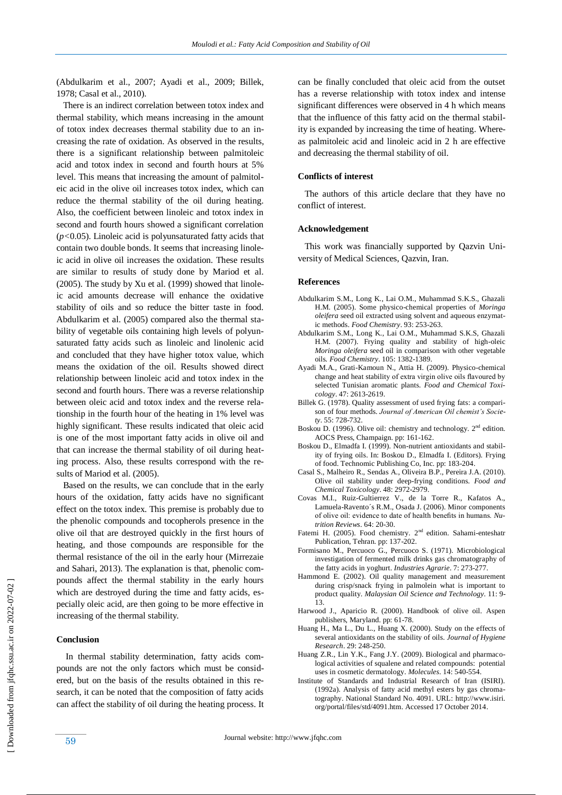(Abdulkarim et al., 2007; Ayadi et al., 2009; Billek, 1978; Casal et al., 2010).

 There is an indirect correlation between totox index and thermal stability, which means increasing in the amount of totox index decreases thermal stability due to an increasing the rate of oxidation. As observed in the results, there is a significant relationship between palmitoleic acid and totox index in second and fourth hours at 5% level. This means that increasing the amount of palmitoleic acid in the olive oil increases totox index, which can reduce the thermal stability of the oil during heating. Also, the coefficient between linoleic and totox index in second and fourth hours showed a significant correlation (*p<*0.05). Linoleic acid is polyunsaturated fatty acids that contain two double bonds. It seems that increasing linoleic acid in olive oil increases the oxidation. These results are similar to results of study done by Mariod et al. (2005). The study by Xu et al. (1999) showed that linoleic acid amounts decrease will enhance the oxidative stability of oils and so reduce the bitter taste in food. Abdulkarim et al. (2005) compared also the thermal stability of vegetable oils containing high levels of polyunsaturated fatty acids such as linoleic and linolenic acid and concluded that they have higher totox value, which means the oxidation of the oil. Results showed direct relationship between linoleic acid and totox index in the second and fourth hours. There was a reverse relationship between oleic acid and totox index and the reverse relationship in the fourth hour of the heating in 1% level was highly significant. These results indicated that oleic acid is one of the most important fatty acids in olive oil and that can increase the thermal stability of oil during heating process. Also, these results correspond with the results of Mariod et al. (2005).

 Based on the results, we can conclude that in the early hours of the oxidation, fatty acids have no significant effect on the totox index. This premise is probably due to the phenolic compounds and tocopherols presence in the olive oil that are destroyed quickly in the first hours of heating, and those compounds are responsible for the thermal resistance of the oil in the early hour (Mirrezaie and Sahari, 2013). The explanation is that, phenolic compounds affect the thermal stability in the early hours which are destroyed during the time and fatty acids, especially oleic acid, are then going to be more effective in increasing of the thermal stability.

# **Conclusion**

 In thermal stability determination, fatty acids compounds are not the only factors which must be considered, but on the basis of the results obtained in this research, it can be noted that the composition of fatty acids can affect the stability of oil during the heating process. It can be finally concluded that oleic acid from the outset has a reverse relationship with totox index and intense significant differences were observed in 4 h which means that the influence of this fatty acid on the thermal stability is expanded by increasing the time of heating. Whereas palmitoleic acid and linoleic acid in 2 h are effective and decreasing the thermal stability of oil.

#### **Conflicts of interest**

 The authors of this article declare that they have no conflict of interest.

### **Acknowledgement**

 This work was financially supported by Qazvin University of Medical Sciences, Qazvin, Iran.

## **References**

- Abdulkarim S.M., Long K., Lai O.M., Muhammad S.K.S., Ghazali H.M. (2005). Some physico-chemical properties of *Moringa oleifera* seed oil extracted using solvent and aqueous enzymatic methods. *Food Chemistry*. 93: 253-263.
- Abdulkarim S.M., Long K., Lai O.M., Muhammad S.K.S, Ghazali H.M. (2007). Frying quality and stability of high-oleic *Moringa oleifera* seed oil in comparison with other vegetable oils. *Food Chemistry*. 105: 1382-1389.
- Ayadi M.A., Grati-Kamoun N., Attia H. (2009). Physico-chemical change and heat stability of extra virgin olive oils flavoured by selected Tunisian aromatic plants. *Food and Chemical Toxicology*. 47: 2613-2619.
- Billek G. (1978). Quality assessment of used frying fats: a comparison of four methods. *Journal of American Oil chemist's Society*. 55: 728-732.
- Boskou D. (1996). Olive oil: chemistry and technology.  $2<sup>nd</sup>$  edition. AOCS Press, Champaign. pp: 161-162.
- Boskou D., Elmadfa I. (1999). Non-nutrient antioxidants and stability of frying oils. In: Boskou D., Elmadfa I. (Editors). Frying of food. Technomic Publishing Co, Inc. pp: 183-204.
- [Casal S.,](http://www.ncbi.nlm.nih.gov/pubmed?term=Casal%20S%5BAuthor%5D&cauthor=true&cauthor_uid=20678538) [Malheiro R.,](http://www.ncbi.nlm.nih.gov/pubmed?term=Malheiro%20R%5BAuthor%5D&cauthor=true&cauthor_uid=20678538) [Sendas A.,](http://www.ncbi.nlm.nih.gov/pubmed?term=Sendas%20A%5BAuthor%5D&cauthor=true&cauthor_uid=20678538) [Oliveira B.P.](http://www.ncbi.nlm.nih.gov/pubmed?term=Oliveira%20BP%5BAuthor%5D&cauthor=true&cauthor_uid=20678538)[, Pereira J.A.](http://www.ncbi.nlm.nih.gov/pubmed?term=Pereira%20JA%5BAuthor%5D&cauthor=true&cauthor_uid=20678538) (2010). Olive oil stability under deep-frying conditions. *Food and Chemical Toxicology*. 48: 2972-2979.
- Covas M.I., Ruiz-Gultierrez V., de la Torre R., Kafatos A., Lamuela-Ravento´s R.M., Osada J. (2006). Minor components of olive oil: evidence to date of health benefits in humans. *Nutrition Reviews*. 64: 20-30.
- Fatemi H. (2005). Food chemistry. 2<sup>nd</sup> edition. Sahami-enteshatr Publication, Tehran. pp: 137-202.
- Formisano M., Percuoco G., Percuoco S. (1971). Microbiological investigation of fermented milk drinks gas chromatography of the fatty acids in yoghurt. *Industries Agrarie*. 7: 273-277.
- Hammond E. (2002). Oil quality management and measurement during crisp/snack frying in palmolein what is important to product quality. *Malaysian Oil Science and Technology*. 11: 9- 13.
- Harwood J., Aparicio R. (2000). Handbook of olive oil. Aspen publishers, Maryland. pp: 61-78.
- Huang H., Ma L., Du L., Huang X. (2000). Study on the effects of several antioxidants on the stability of oils. *Journal of Hygiene Research*. 29: 248-250.
- Huang Z.R., Lin Y.K., Fang J.Y. (2009). Biological and pharmacological activities of squalene and related compounds: potential uses in cosmetic dermatology. *Molecules*. 14: 540-554.
- Institute of Standards and Industrial Research of Iran (ISIRI). (1992a). Analysis of fatty acid methyl esters by gas chromatography. National Standard No. 4091. URL: http://www.isiri. org/portal/files/std/4091.htm. Accessed 17 October 2014.

 [\[ Downloaded from jfqhc.ssu.ac.ir on 2022](http://jfqhc.ssu.ac.ir/article-1-146-en.html)-07-02 ] Downloaded from jfqhc.ssu.ac.ir on 2022-07-02